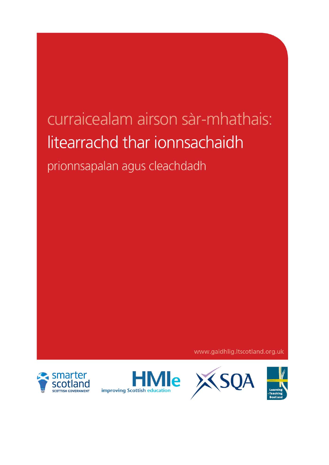# curraicealam airson sàr-mhathais: litearrachd thar ionnsachaidh

prionnsapalan agus cleachdadh

www.gaidhlig.ltscotland.org.uk





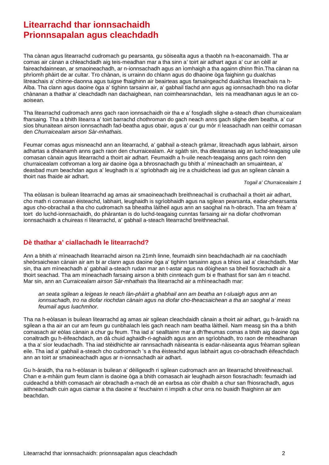# **Litearrachd thar ionnsachaidh Prionnsapalan agus cleachdadh**

Tha cànan agus litearrachd cudromach gu pearsanta, gu sòisealta agus a thaobh na h-eaconamaidh. Tha ar comas air cànan a chleachdadh aig teis-meadhan mar a tha sinn a' toirt air adhart agus a' cur an cèill ar faireachdainnean, ar smaoineachadh, ar n-ionnsachadh agus an ìomhaigh a tha againn dhinn fhìn.Tha cànan na phrìomh phàirt de ar cultar. Tro chànan, is urrainn do chlann agus do dhaoine òga faighinn gu dualchas litreachais a' chinne-daonna agus tuigse fhaighinn air beairteas agus farsaingeachd dualchas litreachais na h-Alba. Tha clann agus daoine òga a' tighinn tarsainn air, a' gabhail tlachd ann agus ag ionnsachadh bho na diofar chànanan a thathar a' cleachdadh nan dachaighean, nan coimhearsnachdan, leis na meadhanan agus le an coaoisean.

Tha litearrachd cudromach anns gach raon ionnsachaidh oir tha e a' fosgladh slighe a-steach dhan churraicealam fharsaing. Tha a bhith litearra a' toirt barrachd chothroman do gach neach anns gach slighe dem beatha, a' cur sìos bhunaitean airson ionnsachadh fad-beatha agus obair, agus a' cur gu mòr ri leasachadh nan ceithir comasan den *Churraicealam airson Sàr-mhathais.*

Feumar comas agus misneachd ann an litearrachd, a' gabhail a-steach gràmar, litreachadh agus labhairt, airson adhartas a dhèanamh anns gach raon den churraicealam. Air sgàth sin, tha dleastanas aig an luchd-teagaisg uile comasan cànain agus litearrachd a thoirt air adhart. Feumaidh a h-uile neach-teagaisg anns gach roinn den churraicealam cothroman a lorg air daoine òga a bhrosnachadh gu bhith a' mìneachadh an smuaintean, a' deasbad mum beachdan agus a' leughadh is a' sgrìobhadh aig ìre a chuidicheas iad gus an sgilean cànain a thoirt nas fhaide air adhart.

*Togail a' Churraicealaim 1*

Tha eòlasan is builean litearrachd ag amas air smaoineachadh breithneachail is cruthachail a thoirt air adhart, cho math ri comasan èisteachd, labhairt, leughaidh is sgrìobhaidh agus na sgilean pearsanta, eadar-phearsanta agus cho-obrachail a tha cho cudromach sa bheatha làitheil agus ann an saoghal na h-obrach. Tha am frèam a' toirt do luchd-ionnsachaidh, do phàrantan is do luchd-teagaisg cunntas farsaing air na diofar chothroman ionnsachaidh a chuireas ri litearrachd, a' gabhail a-steach litearrachd breithneachail.

# **Dè thathar a' ciallachadh le litearrachd?**

Ann a bhith a' mìneachadh litearrachd airson na 21mh linne, feumaidh sinn beachdachadh air na caochladh sheòrsaichean cànain air am bi ar clann agus daoine òga a' tighinn tarsainn agus a bhios iad a' cleachdadh. Mar sin, tha am mìneachadh a' gabhail a-steach rudan mar an t-astar agus na dòighean sa bheil fiosrachadh air a thoirt seachad. Tha am mìneachadh farsaing airson a bhith cinnteach gum bi e fhathast fìor san àm ri teachd. Mar sin, ann an *Curraicealam airson Sàr-mhathais* tha litearrachd air a mhìneachadh mar:

*an seata sgilean a leigeas le neach làn-phàirt a ghabhail ann am beatha an t-sluaigh agus ann an ionnsachadh, tro na diofar riochdan cànain agus na diofar cho-theacsaichean a tha an saoghal a' meas feumail agus luachmhor.*

Tha na h-eòlasan is builean litearrachd ag amas air sgilean cleachdaidh cànain a thoirt air adhart, gu h-àraidh na sgilean a tha air an cur am feum gu cunbhalach leis gach neach nam beatha làitheil. Nam measg sin tha a bhith comasach air eòlas cànain a chur gu feum. Tha iad a' sealltainn mar a dh'fheumas comas a bhith aig daoine òga conaltradh gu h-èifeachdach, an dà chuid aghaidh-ri-aghaidh agus ann an sgrìobhadh, tro raon de mheadhanan a tha a' sìor leudachadh. Tha iad stèidhichte air rannsachadh nàiseanta is eadar-nàiseanta agus frèaman sgilean eile. Tha iad a' gabhail a-steach cho cudromach 's a tha èisteachd agus labhairt agus co-obrachadh èifeachdach ann an toirt ar smaoineachadh agus ar n-ionnsachadh air adhart.

Gu h-àraidh, tha na h-eòlasan is builean a' dèiligeadh ri sgilean cudromach ann an litearrachd bhreithneachail. Chan e a-mhàin gum feum clann is daoine òga a bhith comasach air leughadh airson fiosrachadh: feumaidh iad cuideachd a bhith comasach air obrachadh a-mach dè an earbsa as còir dhaibh a chur san fhiosrachadh, agus aithneachadh cuin agus ciamar a tha daoine a' feuchainn ri ìmpidh a chur orra no buaidh fhaighinn air am beachdan.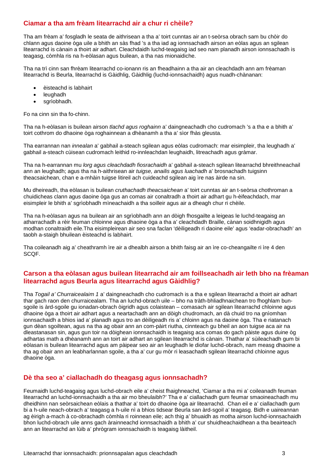# **Ciamar a tha am frèam litearrachd air a chur ri chèile?**

Tha am frèam a' fosgladh le seata de aithrisean a tha a' toirt cunntas air an t-seòrsa obrach sam bu chòir do chlann agus daoine òga uile a bhith an sàs fhad 's a tha iad ag ionnsachadh airson an eòlas agus an sgilean litearrachd is cànain a thoirt air adhart. Cleachdaidh luchd-teagaisg iad seo nam planadh airson ionnsachadh is teagasg, còmhla ris na h-eòlasan agus builean, a tha nas mionaidiche.

Tha na trì cinn san fhrèam litearrachd co-ionann ris an fheadhainn a tha air an cleachdadh ann am frèaman litearrachd is Beurla, litearrachd is Gàidhlig, Gàidhlig (luchd-ionnsachaidh) agus nuadh-chànanan:

- èisteachd is labhairt
- leughadh
- sgrìobhadh.

Fo na cinn sin tha fo-chinn.

Tha na h-eòlasan is builean airson *tlachd agus roghainn* a' daingneachadh cho cudromach 's a tha e a bhith a' toirt cothrom do dhaoine òga roghainnean a dhèanamh a tha a' sìor fhàs gleusta.

Tha earrannan nan *innealan* a' gabhail a-steach sgilean agus eòlas cudromach: mar eisimpleir, tha leughadh a' gabhail a-steach cùisean cudromach leithid ro-innleachdan leughaidh, litreachadh agus gràmar.

Tha na h-earrannan mu *lorg agus cleachdadh fiosrachaidh* a' gabhail a-steach sgilean litearrachd bhreithneachail ann an leughadh; agus tha na h-aithrisean air *tuigse, anailis agus luachadh* a' brosnachadh tuigsinn theacsaichean, chan e a-mhàin tuigse litireil ach cuideachd sgilean aig ìre nas àirde na sin.

Mu dheireadh, tha eòlasan is builean *cruthachadh theacsaichean* a' toirt cunntas air an t-seòrsa chothroman a chuidicheas clann agus daoine òga gus an comas air conaltradh a thoirt air adhart gu h-èifeachdach, mar eisimpleir le bhith a' sgrìobhadh mìneachaidh a tha soilleir agus air a dheagh chur ri chèile.

Tha na h-eòlasan agus na builean air an sgrìobhadh ann an dòigh fhosgailte a leigeas le luchd-teagaisg an atharrachadh a rèir feuman chloinne agus dhaoine òga a tha a' cleachdadh Braille, cànan soidhnigidh agus modhan conaltraidh eile.Tha eisimpleirean air seo sna faclan 'dèiligeadh ri daoine eile' agus 'eadar-obrachadh' an taobh a-staigh bhuilean èisteachd is labhairt.

Tha coileanadh aig a' cheathramh ìre air a dhealbh airson a bhith faisg air an ìre co-cheangailte ri ìre 4 den SCQF.

### **Carson a tha eòlasan agus builean litearrachd air am foillseachadh air leth bho na frèaman litearrachd agus Beurla agus litearrachd agus Gàidhlig?**

Tha *Togail a' Churraicealaim 1* a' daingneachadh cho cudromach is a tha e sgilean litearrachd a thoirt air adhart thar gach raon den churraicealam*.* Tha an luchd-obrach uile – bho na tràth-bhliadhnaichean tro fhoghlam bunsgoile is àrd-sgoile gu ionadan-obrach òigridh agus colaistean – comasach air sgilean litearrachd chloinne agus dhaoine òga a thoirt air adhart agus a neartachadh ann an dòigh chudromach, an dà chuid tro na gnìomhan ionnsachaidh a bhios iad a' planadh agus tro an dèiligeadh ris a' chloinn agus na daoine òga. Tha e riatanach gun dèan sgoiltean, agus na tha ag obair ann an com-pàirt riutha, cinnteach gu bheil an aon tuigse aca air na dleastanasan sin, agus gun toir na dòighean ionnsachaidh is teagaisg aca comas do gach pàiste agus duine òg adhartas math a dhèanamh ann an toirt air adhart an sgilean litearrachd is cànain. Thathar a' sùileachadh gum bi eòlasan is builean litearrachd agus am pàipear seo air an leughadh le diofar luchd-obrach, nam measg dhaoine a tha ag obair ann an leabharlannan sgoile, a tha a' cur gu mòr ri leasachadh sgilean litearrachd chloinne agus dhaoine òga.

# **Dè tha seo a' ciallachadh do theagasg agus ionnsachadh?**

Feumaidh luchd-teagaisg agus luchd-obrach eile a' cheist fhaighneachd, 'Ciamar a tha mi a' coileanadh feuman litearrachd an luchd-ionnsachaidh a tha air mo bheulaibh?' Tha e a' ciallachadh gum feumar smaoineachadh mu dheidhinn nan seòrsaichean eòlais a thathar a' toirt do dhaoine òga air litearrachd. Chan eil e a' ciallachadh gum bi a h-uile neach-obrach a' teagasg a h-uile nì a bhios tidsear Beurla san àrd-sgoil a' teagasg. Bidh e uaireannan ag èirigh a-mach à co-obrachadh còmhla ri roinnean eile; ach thig a' bhuaidh as motha airson luchd-ionnsachaidh bhon luchd-obrach uile anns gach àrainneachd ionnsachaidh a bhith a' cur shuidheachaidhean a tha beairteach ann an litearrachd an lùib a' phrògram ionnsachaidh is teagaisg làitheil.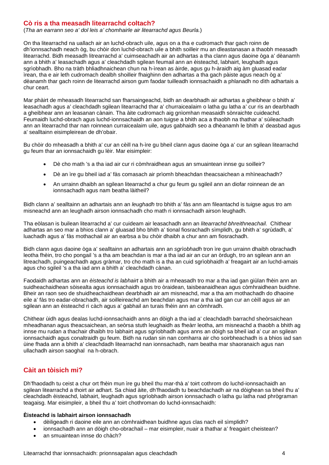#### **Cò ris a tha measadh litearrachd coltach?**

(*Tha an earrann seo a' dol leis a' chomhairle air litearrachd agus Beurla.*)

On tha litearrachd na uallach air an luchd-obrach uile, agus on a tha e cudromach thar gach roinn de dh'ionnsachadh neach òg, bu chòir don luchd-obrach uile a bhith soilleir mu an dleastanasan a thaobh measadh litearrachd. Bidh measadh litrearrachd a' cuimseachadh air an adhartas a tha clann agus daoine òga a' dèanamh ann a bhith a' leasachadh agus a' cleachdadh sgilean feumail ann an èisteachd, labhairt, leughadh agus sgrìobhadh. Bho na tràth bhliadhnaichean chun na h-ìrean as àirde, agus gu h-àraidh aig àm gluasad eadar ìrean, tha e air leth cudromach dealbh shoilleir fhaighinn den adhartas a tha gach pàiste agus neach òg a' dèanamh thar gach roinn de litearrachd airson gum faodar tuilleadh ionnsachaidh a phlanadh no dìth adhartais a chur ceart.

Mar phàirt de mheasadh litearrachd san fharsaingeachd, bidh an dearbhadh air adhartas a gheibhear o bhith a' leasachadh agus a' cleachdadh sgilean litearrachd thar a' churraicealaim o latha gu latha a' cur ris an dearbhadh a gheibhear ann an leasanan cànain. Tha àite cudromach aig gnìomhan measaidh sònraichte cuideachd. Feumaidh luchd-obrach agus luchd-ionnsachaidh an aon tuigse a bhith aca a thaobh na thathar a' sùileachadh ann an litearrachd thar nan roinnean curraicealaim uile, agus gabhaidh seo a dhèanamh le bhith a' deasbad agus a' sealltainn eisimpleirean de dh'obair.

Bu chòir do mheasadh a bhith a' cur an cèill na h-ìre gu bheil clann agus daoine òga a' cur an sgilean litearrachd gu feum thar an ionnsachaidh gu lèir. Mar eisimpleir:

- Dè cho math 's a tha iad air cur ri còmhraidhean agus an smuaintean innse gu soilleir?
- Dè an ìre gu bheil iad a' fàs comasach air prìomh bheachdan theacsaichean a mhìneachadh?
- An urrainn dhaibh an sgilean litearrachd a chur gu feum gu sgileil ann an diofar roinnean de an ionnsachadh agus nam beatha làitheil?

Bidh clann a' sealltainn an adhartais ann an *leughadh* tro bhith a' fàs ann am fileantachd is tuigse agus tro am misneachd ann an leughadh airson ionnsachadh cho math ri ionnsachadh airson leughadh.

Tha eòlasan is builean litearrachd a' cur cuideam air leasachadh ann an *litearrachd bhreithneachail.* Chithear adhartas an seo mar a bhios clann a' gluasad bho bhith a' tional fiosrachadh sìmplidh, gu bhith a' sgrùdadh, a' luachadh agus a' fàs mothachail air an earbsa a bu chòir dhaibh a chur ann am fiosrachadh.

Bidh clann agus daoine òga a' sealltainn an adhartais ann an *sgrìobhadh* tron ìre gun urrainn dhaibh obrachadh leotha fhèin, tro cho pongail 's a tha am beachdan is mar a tha iad air an cur an òrdugh, tro an sgilean ann an litreachadh, puingeachadh agus gràmar, tro cho math is a tha an cuid sgrìobhaidh a' freagairt air an luchd-amais agus cho sgileil 's a tha iad ann a bhith a' cleachdadh cànan.

Faodaidh adhartas ann an *èisteachd is labhairt* a bhith air a mheasadh tro mar a tha iad gan giùlan fhèin ann an suidheachaidhean sòisealta agus ionnsachaidh agus tro òraidean, taisbeanaidhean agus còmhraidhean buidhne. Bheir an raon seo de shuidheachaidhean dearbhadh air am misneachd, mar a tha am mothachadh do dhaoine eile a' fàs tro eadar-obrachadh, air soilleireachd am beachdan agus mar a tha iad gan cur an cèill agus air an sgilean ann an èisteachd ri càch agus a' gabhail an turais fhèin ann an còmhradh.

Chithear ùidh agus dealas luchd-ionnsachaidh anns an dòigh a tha iad a' cleachdadh barrachd sheòrsaichean mheadhanan agus theacsaichean, an seòrsa stuth leughaidh as fheàrr leotha, am misneachd a thaobh a bhith ag innse mu rudan a thachair dhaibh tro labhairt agus sgrìobhadh agus anns an dòigh sa bheil iad a' cur an sgilean ionnsachaidh agus conaltraidh gu feum. Bidh na rudan sin nan comharra air cho soirbheachadh is a bhios iad san ùine fhada ann a bhith a' cleachdadh litearrachd nan ionnsachadh, nam beatha mar shaoranaich agus nan ullachadh airson saoghal na h-obrach.

# **Càit an tòisich mi?**

Dh'fhaodadh tu ceist a chur ort fhèin mun ìre gu bheil thu mar-thà a' toirt cothrom do luchd-ionnsachaidh an sgilean litearrachd a thoirt air adhart. Sa chiad àite, dh'fhaodadh tu beachdachadh air na dòighean sa bheil thu a' cleachdadh èisteachd, labhairt, leughadh agus sgrìobhadh airson ionnsachadh o latha gu latha nad phrògraman teagaisg. Mar eisimpleir, a bheil thu a' toirt chothroman do luchd-ionnsachaidh:

#### **Èisteachd is labhairt airson ionnsachadh**

- dèiligeadh ri daoine eile ann an còmhraidhean buidhne agus clas nach eil sìmplidh?
- ionnsachadh ann an dòigh cho-obrachail mar eisimpleir, nuair a thathar a' freagairt cheistean?
- an smuaintean innse do chàch?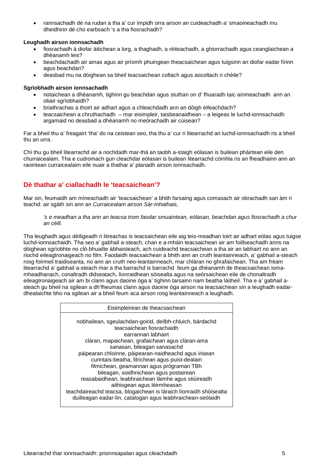• rannsachadh dè na rudan a tha a' cur ìmpidh orra airson an cuideachadh a' smaoineachadh mu dheidhinn dè cho earbsach 's a tha fiosrachadh?

#### **Leughadh airson ionnsachadh**

- fiosrachadh à diofar àitichean a lorg, a thaghadh, a rèiteachadh, a ghiorrachadh agus ceanglaichean a dhèanamh leis?
- beachdachadh air amas agus air prìomh phuingean theacsaichean agus tuigsinn an diofar eadar fìrinn agus beachdan?
- deasbad mu na dòighean sa bheil teacsaichean coltach agus aocoltach ri chèile?

#### **Sgrìobhadh airson ionnsachadh**

- notaichean a dhèanamh, tighinn gu beachdan agus stuthan on d' fhuaradh taic ainmeachadh ann an obair sgrìobhaidh?
- briathrachas a thoirt air adhart agus a chleachdadh ann an dòigh èifeachdach?
- teacsaichean a chruthachadh mar eisimpleir, taisbeanaidhean a leigeas le luchd-ionnsachaidh argamaid no deasbad a dhèanamh no meòrachadh air cùisean?

Far a bheil thu a' freagairt 'tha' do na ceistean seo, tha thu a' cur ri litearrachd an luchd-ionnsachaidh ris a bheil thu an urra.

Chì thu gu bheil litearrachd air a nochdadh mar-thà an taobh a-staigh eòlasan is builean phàirtean eile den churraicealam. Tha e cudromach gun cleachdar eòlasan is builean litearrachd còmhla ris an fheadhainn ann an raointean curraicealaim eile nuair a thathar a' planadh airson ionnsachadh.

# **Dè thathar a' ciallachadh le 'teacsaichean'?**

Mar sin, feumaidh am mìneachadh air 'teacsaichean' a bhith farsaing agus comasach air obrachadh san àm ri teachd: air sgàth sin ann an *Curraicealam airson Sàr-mhathais,* 

*'s e meadhan a tha ann an teacsa trom faodar smuaintean, eòlasan, beachdan agus fiosrachadh a chur an cèill.*

Tha leughadh agus dèiligeadh ri litreachas is teacsaichean eile aig teis-meadhan toirt air adhart eòlas agus tuigse luchd-ionnsachaidh. Tha seo a' gabhail a-steach, chan e a-mhàin teacsaichean air am foillseachadh anns na dòighean sgrìobhte no clò-bhuailte àbhaisteach, ach cuideachd teacsaichean a tha air an labhairt no ann an riochd eileagtronaigeach no film. Faodaidh teacsaichean a bhith ann an cruth leantainneach, a' gabhail a-steach rosg foirmeil traidiseanta, no ann an cruth neo-leantainneach, mar chlàran no ghrafaichean. Tha am frèam litearrachd a' gabhail a-steach mar a tha barrachd is barrachd feum ga dhèanamh de theacsaichean iomamheadhanach, conaltradh didseatach, lìonraidhean sòisealta agus na seòrsaichean eile de chonaltradh eileagtronaigeach air am bi clann agus daoine òga a' tighinn tarsainn nam beatha làitheil. Tha e a' gabhail asteach gu bheil na sgilean a dh'fheumas clann agus daoine òga airson na teacsaichean sin a leughadh eadardhealaichte bho na sgilean air a bheil feum aca airson rosg leantainneach a leughadh.

| Eisimpleirean de theacsaichean                                                                                                    |
|-----------------------------------------------------------------------------------------------------------------------------------|
|                                                                                                                                   |
| nobhailean, sgeulachdan-goirid, deilbh-chluich, bàrdachd<br>teacsaichean fiosrachaidh                                             |
| earrannan labhairt                                                                                                                |
| clàran, mapaichean, grafaichean agus clàran-ama                                                                                   |
| sanasan, bileagan sanasachd                                                                                                       |
| pàipearan chloinne, pàipearan-naidheachd agus irisean<br>cunntais-beatha, litrichean agus puist-dealain                           |
| filmichean, geamannan agus prògraman TBh                                                                                          |
| bileagan, soidhnichean agus postairean                                                                                            |
| reasabaidhean, leabhraichean làimhe agus stiùireadh                                                                               |
| aithisgean agus lèirmheasan                                                                                                       |
| teachdaireachd teacsa, blogaichean is làraich lìonraidh shòisealta<br>duilleagan eadar-lìn, catalogan agus leabhraichean-seòlaidh |
|                                                                                                                                   |